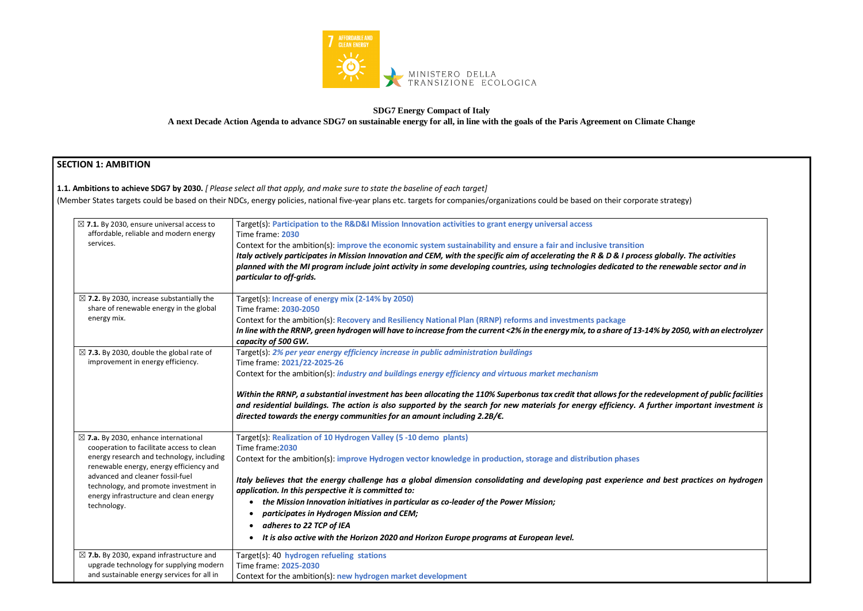

#### **SDG7 Energy Compact of Italy**

**A next Decade Action Agenda to advance SDG7 on sustainable energy for all, in line with the goals of the Paris Agreement on Climate Change**

## **SECTION 1: AMBITION**

**1.1. Ambitions to achieve SDG7 by 2030.** *[ Please select all that apply, and make sure to state the baseline of each target]*  (Member States targets could be based on their NDCs, energy policies, national five-year plans etc. targets for companies/organizations could be based on their corporate strategy)

*Italy actively participates in Mission Innovation and CEM, with the specific aim of accelerating the R & D & I process globally. The activities planned with the MI program include joint activity in some developing countries, using technologies dedicated to the renewable sector and in In line with the RRNP, green hydrogen will have to increase from the current <2% in the energy mix, to a share of 13-14% by 2050, with an electrolyzer Within the RRNP, a substantial investment has been allocating the 110% Superbonus tax credit that allows for the redevelopment of public facilities and residential buildings. The action is also supported by the search for new materials for energy efficiency. A further important investment is Italy believes that the energy challenge has a global dimension consolidating and developing past experience and best practices on hydrogen* 

| $\boxtimes$ 7.1. By 2030, ensure universal access to<br>affordable, reliable and modern energy<br>services.                                                                                                                                                                                                                | Target(s): Participation to the R&D&I Mission Innovation activities to grant energy universal access<br>Time frame: 2030<br>Context for the ambition(s): improve the economic system sustainability and ensure a fair and inclusive transition                                                                                   |
|----------------------------------------------------------------------------------------------------------------------------------------------------------------------------------------------------------------------------------------------------------------------------------------------------------------------------|----------------------------------------------------------------------------------------------------------------------------------------------------------------------------------------------------------------------------------------------------------------------------------------------------------------------------------|
|                                                                                                                                                                                                                                                                                                                            | Italy actively participates in Mission Innovation and CEM, with the specific aim of accelerating the R & D & I process<br>planned with the MI program include joint activity in some developing countries, using technologies dedicated to th<br>particular to off-grids.                                                        |
| $\boxtimes$ 7.2. By 2030, increase substantially the                                                                                                                                                                                                                                                                       | Target(s): Increase of energy mix (2-14% by 2050)                                                                                                                                                                                                                                                                                |
| share of renewable energy in the global<br>energy mix.                                                                                                                                                                                                                                                                     | Time frame: 2030-2050                                                                                                                                                                                                                                                                                                            |
|                                                                                                                                                                                                                                                                                                                            | Context for the ambition(s): Recovery and Resiliency National Plan (RRNP) reforms and investments package<br>In line with the RRNP, green hydrogen will have to increase from the current <2% in the energy mix, to a share of 13-14                                                                                             |
| $\boxtimes$ 7.3. By 2030, double the global rate of<br>improvement in energy efficiency.                                                                                                                                                                                                                                   | capacity of 500 GW.<br>Target(s): 2% per year energy efficiency increase in public administration buildings<br>Time frame: 2021/22-2025-26                                                                                                                                                                                       |
|                                                                                                                                                                                                                                                                                                                            | Context for the ambition(s): <i>industry and buildings energy efficiency and virtuous market mechanism</i>                                                                                                                                                                                                                       |
|                                                                                                                                                                                                                                                                                                                            | Within the RRNP, a substantial investment has been allocating the 110% Superbonus tax credit that allows for the red<br>and residential buildings. The action is also supported by the search for new materials for energy efficiency. A fu<br>directed towards the energy communities for an amount including $2.2B/\epsilon$ . |
| $\boxtimes$ 7.a. By 2030, enhance international<br>cooperation to facilitate access to clean<br>energy research and technology, including<br>renewable energy, energy efficiency and<br>advanced and cleaner fossil-fuel<br>technology, and promote investment in<br>energy infrastructure and clean energy<br>technology. | Target(s): Realization of 10 Hydrogen Valley (5 -10 demo plants)<br>Time frame: 2030                                                                                                                                                                                                                                             |
|                                                                                                                                                                                                                                                                                                                            | Context for the ambition(s): improve Hydrogen vector knowledge in production, storage and distribution phases                                                                                                                                                                                                                    |
|                                                                                                                                                                                                                                                                                                                            | Italy believes that the energy challenge has a global dimension consolidating and developing past experience ar<br>application. In this perspective it is committed to:                                                                                                                                                          |
|                                                                                                                                                                                                                                                                                                                            | the Mission Innovation initiatives in particular as co-leader of the Power Mission;<br>$\bullet$                                                                                                                                                                                                                                 |
|                                                                                                                                                                                                                                                                                                                            | participates in Hydrogen Mission and CEM;                                                                                                                                                                                                                                                                                        |
|                                                                                                                                                                                                                                                                                                                            | adheres to 22 TCP of IEA                                                                                                                                                                                                                                                                                                         |
|                                                                                                                                                                                                                                                                                                                            | It is also active with the Horizon 2020 and Horizon Europe programs at European level.                                                                                                                                                                                                                                           |
| $\boxtimes$ 7.b. By 2030, expand infrastructure and                                                                                                                                                                                                                                                                        | Target(s): 40 hydrogen refueling stations                                                                                                                                                                                                                                                                                        |
| upgrade technology for supplying modern<br>and sustainable energy services for all in                                                                                                                                                                                                                                      | Time frame: 2025-2030                                                                                                                                                                                                                                                                                                            |
|                                                                                                                                                                                                                                                                                                                            | Context for the ambition(s): new hydrogen market development                                                                                                                                                                                                                                                                     |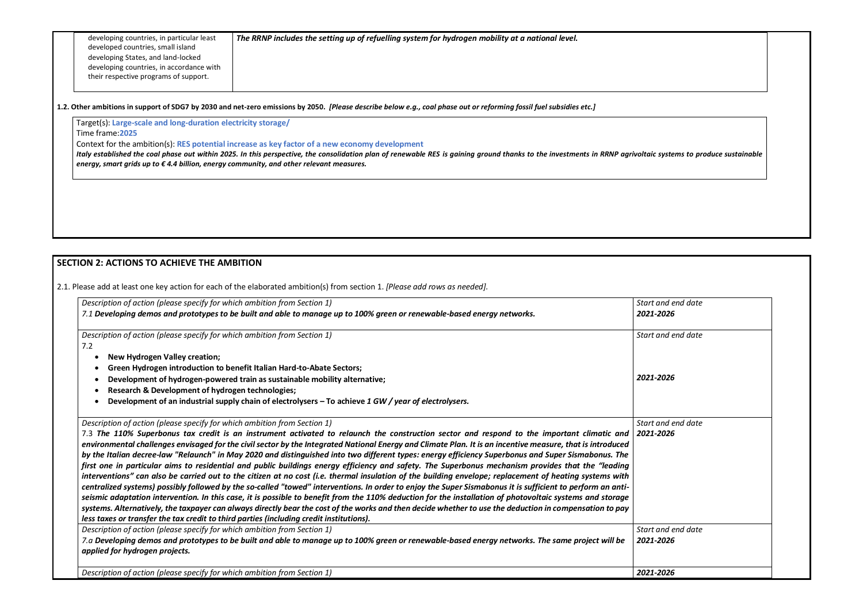developing countries, in particular least developed countries, small island developing States, and land-locked developing countries, in accordance with their respective programs of support.

*The RRNP includes the setting up of refuelling system for hydrogen mobility at a national level.*

#### **SECTION 2: ACTIONS TO ACHIEVE THE AMBITION**

| Target(s): Large-scale and long-duration electricity storage/                                                                                                                                                                                                                                                                                                                                                                                                                                                                                                                                                                                                                                                                            |                                 |  |
|------------------------------------------------------------------------------------------------------------------------------------------------------------------------------------------------------------------------------------------------------------------------------------------------------------------------------------------------------------------------------------------------------------------------------------------------------------------------------------------------------------------------------------------------------------------------------------------------------------------------------------------------------------------------------------------------------------------------------------------|---------------------------------|--|
| Time frame: 2025<br>Context for the ambition(s): RES potential increase as key factor of a new economy development<br>Italy established the coal phase out within 2025. In this perspective, the consolidation plan of renewable RES is gaining ground thanks to the investments in RRNP agrivoltaic systems to produce sustainable<br>energy, smart grids up to €4.4 billion, energy community, and other relevant measures.                                                                                                                                                                                                                                                                                                            |                                 |  |
|                                                                                                                                                                                                                                                                                                                                                                                                                                                                                                                                                                                                                                                                                                                                          |                                 |  |
| <b>SECTION 2: ACTIONS TO ACHIEVE THE AMBITION</b>                                                                                                                                                                                                                                                                                                                                                                                                                                                                                                                                                                                                                                                                                        |                                 |  |
| 2.1. Please add at least one key action for each of the elaborated ambition(s) from section 1. [Please add rows as needed].                                                                                                                                                                                                                                                                                                                                                                                                                                                                                                                                                                                                              |                                 |  |
| Description of action (please specify for which ambition from Section 1)<br>7.1 Developing demos and prototypes to be built and able to manage up to 100% green or renewable-based energy networks.                                                                                                                                                                                                                                                                                                                                                                                                                                                                                                                                      | Start and end date<br>2021-2026 |  |
| Description of action (please specify for which ambition from Section 1)<br>7.2                                                                                                                                                                                                                                                                                                                                                                                                                                                                                                                                                                                                                                                          | Start and end date              |  |
| <b>New Hydrogen Valley creation;</b>                                                                                                                                                                                                                                                                                                                                                                                                                                                                                                                                                                                                                                                                                                     |                                 |  |
| Green Hydrogen introduction to benefit Italian Hard-to-Abate Sectors;                                                                                                                                                                                                                                                                                                                                                                                                                                                                                                                                                                                                                                                                    |                                 |  |
| Development of hydrogen-powered train as sustainable mobility alternative;                                                                                                                                                                                                                                                                                                                                                                                                                                                                                                                                                                                                                                                               | 2021-2026                       |  |
| <b>Research &amp; Development of hydrogen technologies;</b><br>Development of an industrial supply chain of electrolysers - To achieve 1 GW / year of electrolysers.                                                                                                                                                                                                                                                                                                                                                                                                                                                                                                                                                                     |                                 |  |
| Description of action (please specify for which ambition from Section 1)                                                                                                                                                                                                                                                                                                                                                                                                                                                                                                                                                                                                                                                                 | Start and end date              |  |
| 7.3 The 110% Superbonus tax credit is an instrument activated to relaunch the construction sector and respond to the important climatic and<br>environmental challenges envisaged for the civil sector by the Integrated National Energy and Climate Plan. It is an incentive measure, that is introduced<br>by the Italian decree-law "Relaunch" in May 2020 and distinguished into two different types: energy efficiency Superbonus and Super Sismabonus. The<br>first one in particular aims to residential and public buildings energy efficiency and safety. The Superbonus mechanism provides that the "leading                                                                                                                   | 2021-2026                       |  |
| interventions" can also be carried out to the citizen at no cost (i.e. thermal insulation of the building envelope; replacement of heating systems with<br>centralized systems) possibly followed by the so-called "towed" interventions. In order to enjoy the Super Sismabonus it is sufficient to perform an anti-<br>seismic adaptation intervention. In this case, it is possible to benefit from the 110% deduction for the installation of photovoltaic systems and storage<br>systems. Alternatively, the taxpayer can always directly bear the cost of the works and then decide whether to use the deduction in compensation to pay<br>less taxes or transfer the tax credit to third parties (including credit institutions). |                                 |  |
| Description of action (please specify for which ambition from Section 1)<br>7.a Developing demos and prototypes to be built and able to manage up to 100% green or renewable-based energy networks. The same project will be<br>applied for hydrogen projects.                                                                                                                                                                                                                                                                                                                                                                                                                                                                           | Start and end date<br>2021-2026 |  |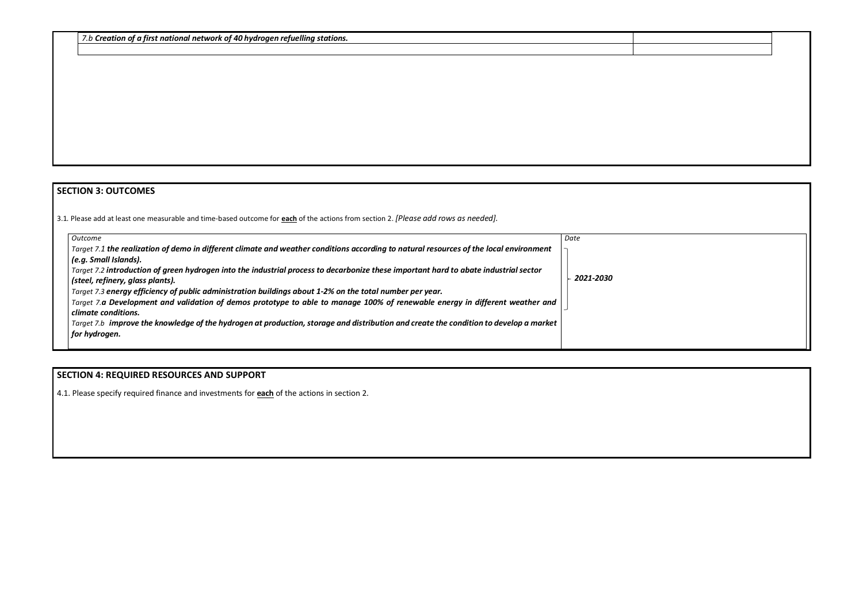*7.b Creation of a first national network of 40 hydrogen refuelling stations.*

## **SECTION 3: OUTCOMES**

3.1*.* Please add at least one measurable and time-based outcome for **each** of the actions from section 2. *[Please add rows as needed].*

| Outcome                                                                                                                                | Date      |
|----------------------------------------------------------------------------------------------------------------------------------------|-----------|
| Target 7.1 the realization of demo in different climate and weather conditions according to natural resources of the local environment |           |
| (e.g. Small Islands).                                                                                                                  |           |
| Target 7.2 introduction of green hydrogen into the industrial process to decarbonize these important hard to abate industrial sector   | 2021-2030 |
| (steel, refinery, glass plants).                                                                                                       |           |
| Target 7.3 energy efficiency of public administration buildings about 1-2% on the total number per year.                               |           |
| Target 7.a Development and validation of demos prototype to able to manage 100% of renewable energy in different weather and           |           |
| climate conditions.                                                                                                                    |           |
| Target 7.b improve the knowledge of the hydrogen at production, storage and distribution and create the condition to develop a market  |           |
| for hydrogen.                                                                                                                          |           |
|                                                                                                                                        |           |

# **SECTION 4: REQUIRED RESOURCES AND SUPPORT**

4.1. Please specify required finance and investments for **each** of the actions in section 2.

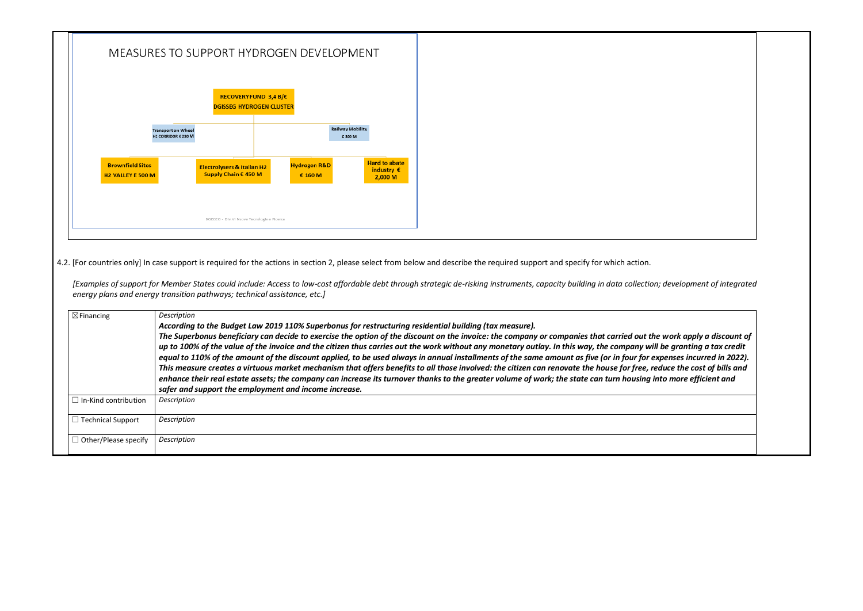

4.2. [For countries only] In case support is required for the actions in section 2, please select from below and describe the required support and specify for which action.

*[Examples of support for Member States could include: Access to low-cost affordable debt through strategic de-risking instruments, capacity building in data collection; development of integrated energy plans and energy transition pathways; technical assistance, etc.]*

*The Superbonus beneficiary can decide to exercise the option of the discount on the invoice: the company or companies that carried out the work apply a discount of up to 100% of the value of the invoice and the citizen thus carries out the work without any monetary outlay. In this way, the company will be granting a tax credit expenses incurred in 2022). This measure creates a virtuous market mechanism that offers benefits to all those involved: the citizen can renovate the house for free, reduce the cost of bills and enhance their real estate assets; the company can increase its turnover thanks to the greater volume of work; the state can turn housing into more efficient and* 

| $\boxtimes$ Financing               | Description<br>According to the Budget Law 2019 110% Superbonus for restructuring residential building (tax measure).<br>The Superbonus beneficiary can decide to exercise the option of the discount on the invoice: the company or companies that carried out ti<br>up to 100% of the value of the invoice and the citizen thus carries out the work without any monetary outlay. In this way, the company w<br>equal to 110% of the amount of the discount applied, to be used always in annual installments of the same amount as five (or in four for<br>This measure creates a virtuous market mechanism that offers benefits to all those involved: the citizen can renovate the house for free, i<br>enhance their real estate assets; the company can increase its turnover thanks to the greater volume of work; the state can turn housing<br>safer and support the employment and income increase. |
|-------------------------------------|----------------------------------------------------------------------------------------------------------------------------------------------------------------------------------------------------------------------------------------------------------------------------------------------------------------------------------------------------------------------------------------------------------------------------------------------------------------------------------------------------------------------------------------------------------------------------------------------------------------------------------------------------------------------------------------------------------------------------------------------------------------------------------------------------------------------------------------------------------------------------------------------------------------|
| $\Box$ In-Kind contribution         | Description                                                                                                                                                                                                                                                                                                                                                                                                                                                                                                                                                                                                                                                                                                                                                                                                                                                                                                    |
| <b>Technical Support</b><br>$\perp$ | Description                                                                                                                                                                                                                                                                                                                                                                                                                                                                                                                                                                                                                                                                                                                                                                                                                                                                                                    |
| $\Box$ Other/Please specify         | Description                                                                                                                                                                                                                                                                                                                                                                                                                                                                                                                                                                                                                                                                                                                                                                                                                                                                                                    |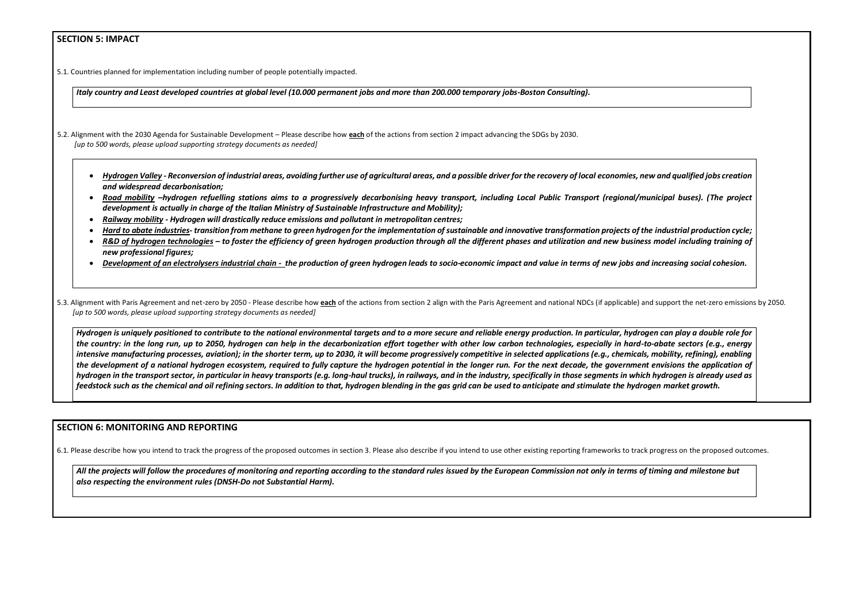#### **SECTION 5: IMPACT**

5.1. Countries planned for implementation including number of people potentially impacted.

*Italy country and Least developed countries at global level (10.000 permanent jobs and more than 200.000 temporary jobs-Boston Consulting).*

- 5.2. Alignment with the 2030 Agenda for Sustainable Development Please describe how **each** of the actions from section 2 impact advancing the SDGs by 2030. *[up to 500 words, please upload supporting strategy documents as needed]* 
	- *Hydrogen Valley - Reconversion of industrial areas, avoiding further use of agricultural areas, and a possible driver for the recovery of local economies, new and qualified jobs creation and widespread decarbonisation;*
	- *Road mobility –hydrogen refuelling stations aims to a progressively decarbonising heavy transport, including Local Public Transport (regional/municipal buses). (The project development is actually in charge of the Italian Ministry of Sustainable Infrastructure and Mobility);*
	- *Railway mobility - Hydrogen will drastically reduce emissions and pollutant in metropolitan centres;*
	- *Hard to abate industries- transition from methane to green hydrogen for the implementation of sustainable and innovative transformation projects of the industrial production cycle;*
	- *R&D of hydrogen technologies – to foster the efficiency of green hydrogen production through all the different phases and utilization and new business model including training of new professional figures;*
	- *Development of an electrolysers industrial chain - the production of green hydrogen leads to socio-economic impact and value in terms of new jobs and increasing social cohesion.*

5.3. Alignment with Paris Agreement and net-zero by 2050 - Please describe how each of the actions from section 2 align with the Paris Agreement and national NDCs (if applicable) and support the net-zero emissions by 2050. *[up to 500 words, please upload supporting strategy documents as needed]* 

*Hydrogen is uniquely positioned to contribute to the national environmental targets and to a more secure and reliable energy production. In particular, hydrogen can play a double role for the country: in the long run, up to 2050, hydrogen can help in the decarbonization effort together with other low carbon technologies, especially in hard-to-abate sectors (e.g., energy intensive manufacturing processes, aviation); in the shorter term, up to 2030, it will become progressively competitive in selected applications (e.g., chemicals, mobility, refining), enabling the development of a national hydrogen ecosystem, required to fully capture the hydrogen potential in the longer run. For the next decade, the government envisions the application of hydrogen in the transport sector, in particular in heavy transports (e.g. long-haul trucks), in railways, and in the industry, specifically in those segments in which hydrogen is already used as feedstock such as the chemical and oil refining sectors. In addition to that, hydrogen blending in the gas grid can be used to anticipate and stimulate the hydrogen market growth.*

#### **SECTION 6: MONITORING AND REPORTING**

6.1. Please describe how you intend to track the progress of the proposed outcomes in section 3. Please also describe if you intend to use other existing reporting frameworks to track progress on the proposed outcomes.

*All the projects will follow the procedures of monitoring and reporting according to the standard rules issued by the European Commission not only in terms of timing and milestone but also respecting the environment rules (DNSH-Do not Substantial Harm).*

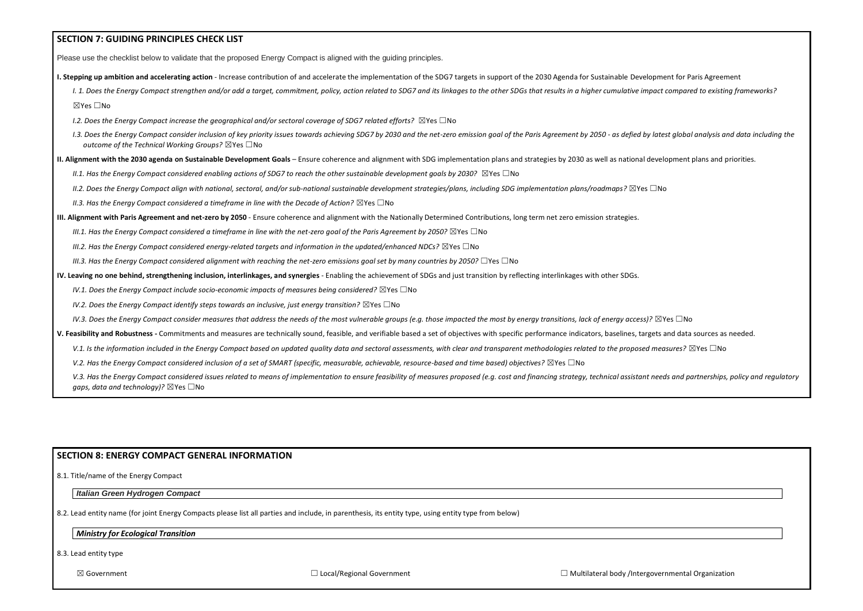| <b>SECTION 7: GUIDING PRINCIPLES CHECK LIST</b>                                                                                                                                                                                                                                                      |  |
|------------------------------------------------------------------------------------------------------------------------------------------------------------------------------------------------------------------------------------------------------------------------------------------------------|--|
| Please use the checklist below to validate that the proposed Energy Compact is aligned with the guiding principles.                                                                                                                                                                                  |  |
| I. Stepping up ambition and accelerating action - Increase contribution of and accelerate the implementation of the SDG7 targets in support of the 2030 Agenda for Sustainable Development for Paris Agreement                                                                                       |  |
| I. 1. Does the Energy Compact strengthen and/or add a target, commitment, policy, action related to SDG7 and its linkages to the other SDGs that results in a higher cumulative impact compared to existing frameworks?                                                                              |  |
| ⊠Yes □No                                                                                                                                                                                                                                                                                             |  |
| 1.2. Does the Energy Compact increase the geographical and/or sectoral coverage of SDG7 related efforts? $\boxtimes$ Yes $\Box$ No                                                                                                                                                                   |  |
| I.3. Does the Energy Compact consider inclusion of key priority issues towards achieving SDG7 by 2030 and the net-zero emission goal of the Paris Agreement by 2050 - as defied by latest global analysis and data including t<br>outcome of the Technical Working Groups? $\boxtimes$ Yes $\Box$ No |  |
| II. Alignment with the 2030 agenda on Sustainable Development Goals - Ensure coherence and alignment with SDG implementation plans and strategies by 2030 as well as national development plans and priorities.                                                                                      |  |
| II.1. Has the Energy Compact considered enabling actions of SDG7 to reach the other sustainable development goals by 2030? $\boxtimes$ Yes $\Box$ No                                                                                                                                                 |  |
| II.2. Does the Energy Compact align with national, sectoral, and/or sub-national sustainable development strategies/plans, including SDG implementation plans/roadmaps? $\boxtimes$ Yes $\Box$ No                                                                                                    |  |
| II.3. Has the Energy Compact considered a timeframe in line with the Decade of Action? $\boxtimes$ Yes $\Box$ No                                                                                                                                                                                     |  |
| III. Alignment with Paris Agreement and net-zero by 2050 - Ensure coherence and alignment with the Nationally Determined Contributions, long term net zero emission strategies.                                                                                                                      |  |
| III.1. Has the Energy Compact considered a timeframe in line with the net-zero goal of the Paris Agreement by 2050? $\boxtimes$ Yes $\Box$ No                                                                                                                                                        |  |
| III.2. Has the Energy Compact considered energy-related targets and information in the updated/enhanced NDCs? $\boxtimes$ Yes $\Box$ No                                                                                                                                                              |  |
| III.3. Has the Energy Compact considered alignment with reaching the net-zero emissions goal set by many countries by 2050? $\Box$ Yes $\Box$ No                                                                                                                                                     |  |
| IV. Leaving no one behind, strengthening inclusion, interlinkages, and synergies - Enabling the achievement of SDGs and just transition by reflecting interlinkages with other SDGs.                                                                                                                 |  |
| IV.1. Does the Energy Compact include socio-economic impacts of measures being considered? $\boxtimes$ Yes $\Box$ No                                                                                                                                                                                 |  |
| IV.2. Does the Energy Compact identify steps towards an inclusive, just energy transition? $\boxtimes$ Yes $\Box$ No                                                                                                                                                                                 |  |
| IV.3. Does the Energy Compact consider measures that address the needs of the most vulnerable groups (e.g. those impacted the most by energy transitions, lack of energy access)? $\boxtimes$ Yes $\Box$ No                                                                                          |  |
| V. Feasibility and Robustness - Commitments and measures are technically sound, feasible, and verifiable based a set of objectives with specific performance indicators, baselines, targets and data sources as needed.                                                                              |  |
| V.1. Is the information included in the Energy Compact based on updated quality data and sectoral assessments, with clear and transparent methodologies related to the proposed measures? $\boxtimes$ Yes $\Box$ No                                                                                  |  |
| V.2. Has the Energy Compact considered inclusion of a set of SMART (specific, measurable, achievable, resource-based and time based) objectives? ⊠Yes □No                                                                                                                                            |  |
| V.3. Has the Energy Compact considered issues related to means of implementation to ensure feasibility of measures proposed (e.g. cost and financing strategy, technical assistant needs and partnerships, policy and regulato                                                                       |  |

## **SECTION 8: ENERGY COMPACT GENERAL INFORMATION**

#### 8.1. Title/name of the Energy Compact

#### *Italian Green Hydrogen Compact*

*gaps, data and technology)?* ⊠Yes □No

8.2. Lead entity name (for joint Energy Compacts please list all parties and include, in parenthesis, its entity type, using entity type from below)

#### *Ministry for Ecological Transition*

8.3. Lead entity type

| overnmental Organization |  |
|--------------------------|--|